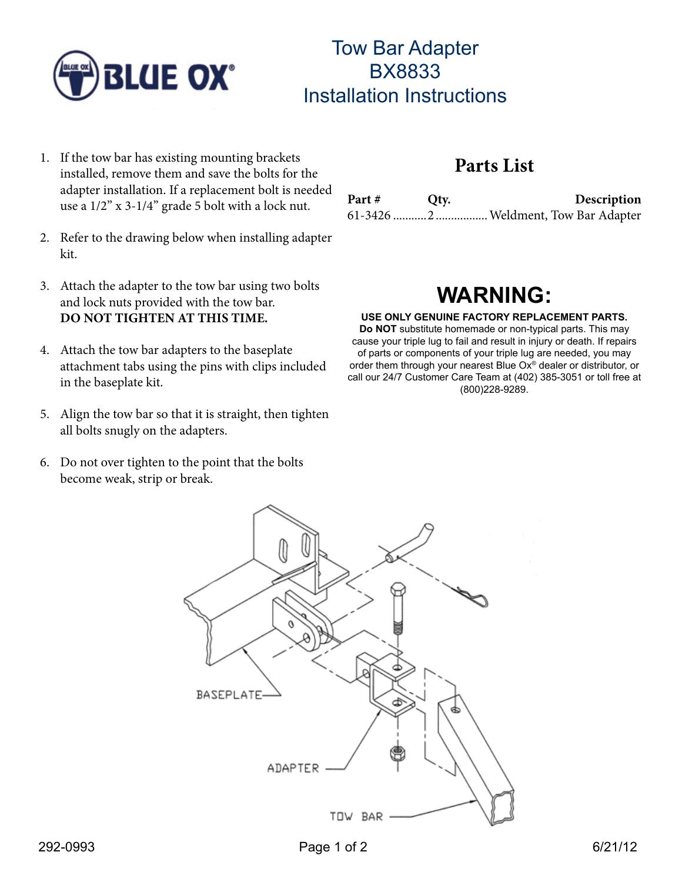

## Tow Bar Adapter BX8833 Installation Instructions

- 1. If the tow bar has existing mounting brackets installed, remove them and save the bolts for the adapter installation. If a replacement bolt is needed use a 1/2" x 3-1/4" grade 5 bolt with a lock nut.
- 2. Refer to the drawing below when installing adapter kit.
- 3. Attach the adapter to the tow bar using two bolts and lock nuts provided with the tow bar. **DO NOT TIGHTEN AT THIS TIME.**
- 4. Attach the tow bar adapters to the baseplate attachment tabs using the pins with clips included in the baseplate kit.
- 5. Align the tow bar so that it is straight, then tighten all bolts snugly on the adapters.
- 6. Do not over tighten to the point that the bolts become weak, strip or break.

### **Parts List**

| Part # | Qty. | Description |
|--------|------|-------------|
|        |      |             |

# **WARNING:**

#### **USE ONLY GENUINE FACTORY REPLACEMENT PARTS.**

order them through your nearest Blue Ox® dealer or distributor, or<br>call our 24/7 Customer Care Team at (402) 385,3051 or tell froe at **Do NOT** substitute homemade or non-typical parts. This may cause your triple lug to fail and result in injury or death. If repairs of parts or components of your triple lug are needed, you may call our 24/7 Customer Care Team at (402) 385-3051 or toll free at (800)228-9289.